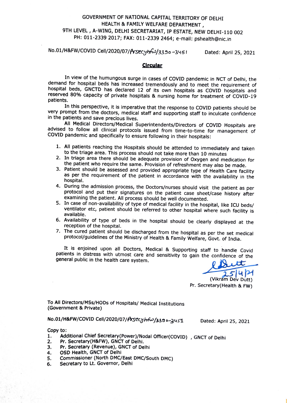## GOVERNMENT OF NATIONAL CAPITAL TERRITORY OF DELHI HEALTH & FAMILY WELFARE DEPARTMENT, 9TH LEVEL , A-WING, DELHI SECRETARIAT, IP ESTATE, NEW DELHI-110 002 PH: 011-2339 2017; FAX: 011-2339 2464; e-mail: pshealth@nic.in

No.01/H&FW/COVID Cell/2020/07/Prsecyh 23390-3451 Dated: April 25, 2021

## **Circular**

In view of the humungous surge in cases of COVID pandemic in NCT of Delhi, the demand for hospital beds has increased tremendously and to meet the requirement of hospital beds, GNCTD has declared 12 of its own hospitals as COVID hospitals and reserved 80% capacity of private hospitals & nursing home for treatment of COVID-19 patients.

In this perspective, it is imperative that the response to CovID patients should be very prompt from the doctors, medical staff and supporting staff to inculcate confidence in the patients and save precious lives.

All Medical Directors/Medical Superintendents/Directors of COVID Hospitals are advised to follow all clinical protocols issued from time-to-time for management of COVID pandemic and specifically to ensure following in their hospitals:

- 1. All patients reaching the Hospitals should be attended to immediately and taken to the triage area. This process should not take more than 10 minutes
- 2. In triage area there should be adequate provision of Oxygen and medication for the patient who require the same. Provision of refreshment may also be made.
- 3. Patient should be assessed and provided appropriate type of Health Care facility as per the requirement of the patient in accordance with the availability in the hospital.
- During the admission process, the Doctors/nurses should visit the patient as per protocol and put their signatures on the patient case sheet/case history after examining the patient. All process should be well documented.
- 5. În case of non-availability of type of medical facility in the hospital, like ICU beds/ ventilator etc, patient should be referred to other hospital where such facility is available.
- 6. Availability of type of beds in the hospital should be clearly displayed at the reception of the hospital.
- 7. The cured patient should be discharged from the hospital as per the set medical protocol/guidelines of the Ministry of Health & Family Welfare, Govt. of India.

It is enjoined upon all Doctors, Medical & Supporting staff to handle Covid patients in distress with utmost care and sensitivity to gain the confidence of the general public in the health care system.

 $154$ <br> $(154)$ <br> $(164)$ <br> $(164)$ <br> $(164)$ <br> $(164)$ <br> $(164)$ <br> $(164)$ 

Pr. Secretary(Health & FW)

To All Directors/MSs/HODs of Hospitals/ Medical Institutions (Government & Private)

No.01/H&FW/COVID Cell/2020/07/Prsecyhfw/3390-3us1 Dated: April 25, 2021

Copy to:

- . Additional Chief Secretary(Power)/Nodal Officer(COVID) , GNCT of Delhi
- Pr. Secretary(H&FW), GNCT of Delhi.  $\frac{2}{3}$ .
- Pr. Secretary (Revenue), GNCT of Delhi
- 4. OSD Health, GNCT of Delhi
- Commissioner (North DMC/East DMC/South DMC) 5.
- Secretary to Lt. Governor, Delhi O.